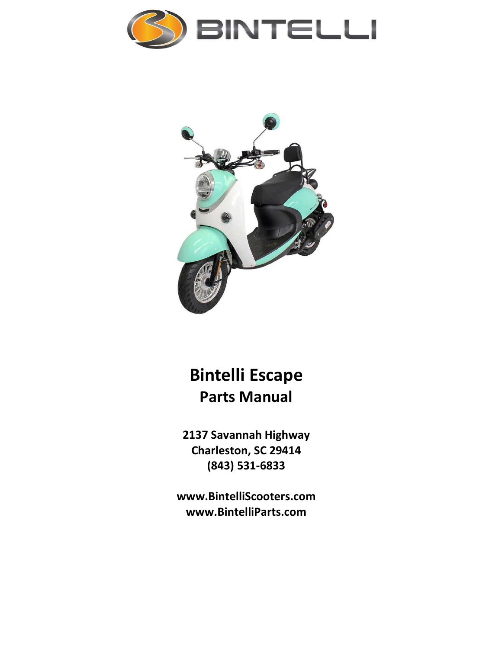



# Bintelli Escape Parts Manual

2137 Savannah Highway Charleston, SC 29414 (843) 531-6833

www.BintelliScooters.com www.BintelliParts.com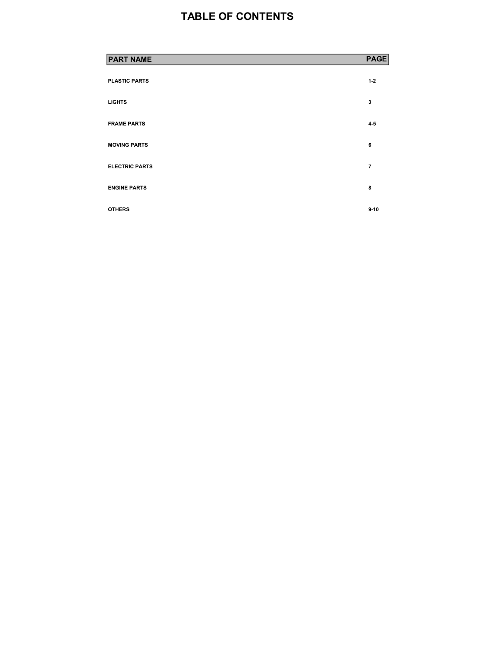## TABLE OF CONTENTS

| <b>PART NAME</b>      | <b>PAGE</b>    |
|-----------------------|----------------|
| <b>PLASTIC PARTS</b>  | $1 - 2$        |
| <b>LIGHTS</b>         | 3              |
| <b>FRAME PARTS</b>    | $4 - 5$        |
| <b>MOVING PARTS</b>   | 6              |
| <b>ELECTRIC PARTS</b> | $\overline{7}$ |
| <b>ENGINE PARTS</b>   | 8              |
| <b>OTHERS</b>         | $9 - 10$       |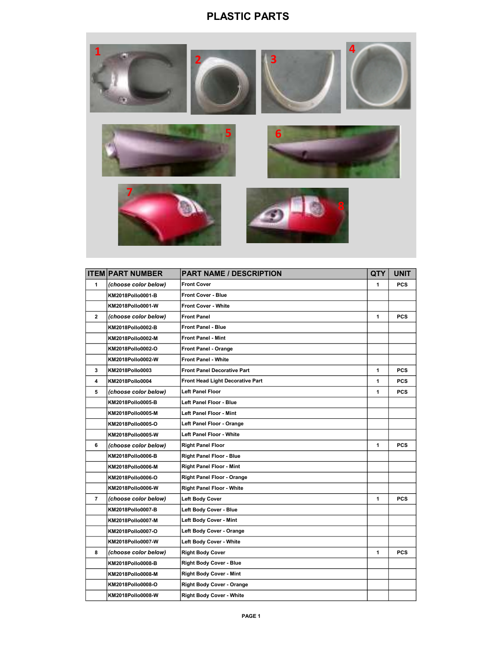## PLASTIC PARTS



|                | <b>ITEM PART NUMBER</b>  | <b>PART NAME / DESCRIPTION</b>     | <b>QTY</b> | <b>UNIT</b> |
|----------------|--------------------------|------------------------------------|------------|-------------|
| 1              | (choose color below)     | <b>Front Cover</b>                 | 1          | <b>PCS</b>  |
|                | KM2018Pollo0001-B        | <b>Front Cover - Blue</b>          |            |             |
|                | <b>KM2018Pollo0001-W</b> | <b>Front Cover - White</b>         |            |             |
| $\overline{2}$ | (choose color below)     | <b>Front Panel</b>                 | 1          | <b>PCS</b>  |
|                | KM2018Pollo0002-B        | <b>Front Panel - Blue</b>          |            |             |
|                | KM2018Pollo0002-M        | <b>Front Panel - Mint</b>          |            |             |
|                | KM2018Pollo0002-O        | Front Panel - Orange               |            |             |
|                | KM2018Pollo0002-W        | <b>Front Panel - White</b>         |            |             |
| 3              | KM2018Pollo0003          | <b>Front Panel Decorative Part</b> | 1          | <b>PCS</b>  |
| 4              | KM2018Pollo0004          | Front Head Light Decorative Part   | 1          | <b>PCS</b>  |
| 5              | (choose color below)     | <b>Left Panel Floor</b>            | 1          | <b>PCS</b>  |
|                | KM2018Pollo0005-B        | Left Panel Floor - Blue            |            |             |
|                | KM2018Pollo0005-M        | <b>Left Panel Floor - Mint</b>     |            |             |
|                | <b>KM2018Pollo0005-O</b> | Left Panel Floor - Orange          |            |             |
|                | <b>KM2018Pollo0005-W</b> | Left Panel Floor - White           |            |             |
| 6              | (choose color below)     | <b>Right Panel Floor</b>           | 1          | <b>PCS</b>  |
|                | KM2018Pollo0006-B        | <b>Right Panel Floor - Blue</b>    |            |             |
|                | <b>KM2018Pollo0006-M</b> | <b>Right Panel Floor - Mint</b>    |            |             |
|                | KM2018Pollo0006-O        | <b>Right Panel Floor - Orange</b>  |            |             |
|                | <b>KM2018Pollo0006-W</b> | <b>Right Panel Floor - White</b>   |            |             |
| $\overline{7}$ | (choose color below)     | <b>Left Body Cover</b>             | 1          | <b>PCS</b>  |
|                | KM2018Pollo0007-B        | Left Body Cover - Blue             |            |             |
|                | KM2018Pollo0007-M        | Left Body Cover - Mint             |            |             |
|                | <b>KM2018Pollo0007-O</b> | Left Body Cover - Orange           |            |             |
|                | <b>KM2018Pollo0007-W</b> | Left Body Cover - White            |            |             |
| 8              | (choose color below)     | <b>Right Body Cover</b>            | 1          | <b>PCS</b>  |
|                | KM2018Pollo0008-B        | <b>Right Body Cover - Blue</b>     |            |             |
|                | KM2018Pollo0008-M        | <b>Right Body Cover - Mint</b>     |            |             |
|                | KM2018Pollo0008-O        | <b>Right Body Cover - Orange</b>   |            |             |
|                | <b>KM2018Pollo0008-W</b> | <b>Right Body Cover - White</b>    |            |             |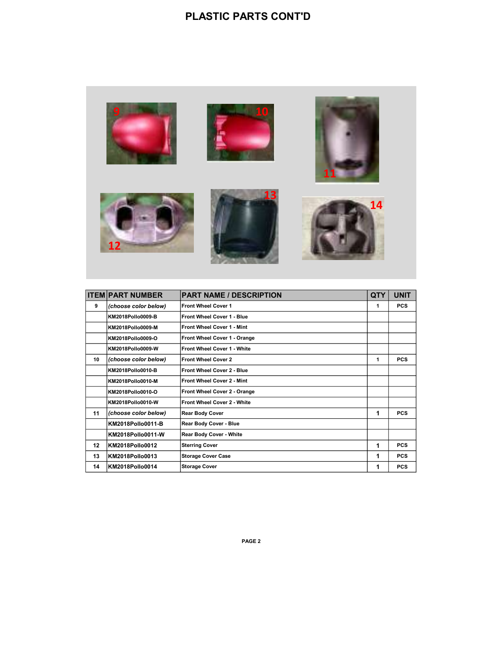## PLASTIC PARTS CONT'D



|    | <b>ITEM PART NUMBER</b>  | <b>PART NAME / DESCRIPTION</b>    | <b>QTY</b> | <b>UNIT</b> |
|----|--------------------------|-----------------------------------|------------|-------------|
| 9  | (choose color below)     | <b>Front Wheel Cover 1</b>        | 1          | <b>PCS</b>  |
|    | KM2018Pollo0009-B        | Front Wheel Cover 1 - Blue        |            |             |
|    | KM2018Pollo0009-M        | <b>Front Wheel Cover 1 - Mint</b> |            |             |
|    | KM2018Pollo0009-O        | Front Wheel Cover 1 - Orange      |            |             |
|    | <b>KM2018Pollo0009-W</b> | Front Wheel Cover 1 - White       |            |             |
| 10 | (choose color below)     | <b>Front Wheel Cover 2</b>        | 1          | <b>PCS</b>  |
|    | <b>KM2018Pollo0010-B</b> | Front Wheel Cover 2 - Blue        |            |             |
|    | KM2018Pollo0010-M        | <b>Front Wheel Cover 2 - Mint</b> |            |             |
|    | KM2018Pollo0010-O        | Front Wheel Cover 2 - Orange      |            |             |
|    | <b>KM2018Pollo0010-W</b> | Front Wheel Cover 2 - White       |            |             |
| 11 | (choose color below)     | <b>Rear Body Cover</b>            | 1          | <b>PCS</b>  |
|    | KM2018Pollo0011-B        | Rear Body Cover - Blue            |            |             |
|    | <b>KM2018Pollo0011-W</b> | Rear Body Cover - White           |            |             |
| 12 | <b>KM2018Pollo0012</b>   | <b>Sterring Cover</b>             | 1          | <b>PCS</b>  |
| 13 | KM2018Pollo0013          | <b>Storage Cover Case</b>         | 1          | <b>PCS</b>  |
| 14 | KM2018Pollo0014          | <b>Storage Cover</b>              | 1          | <b>PCS</b>  |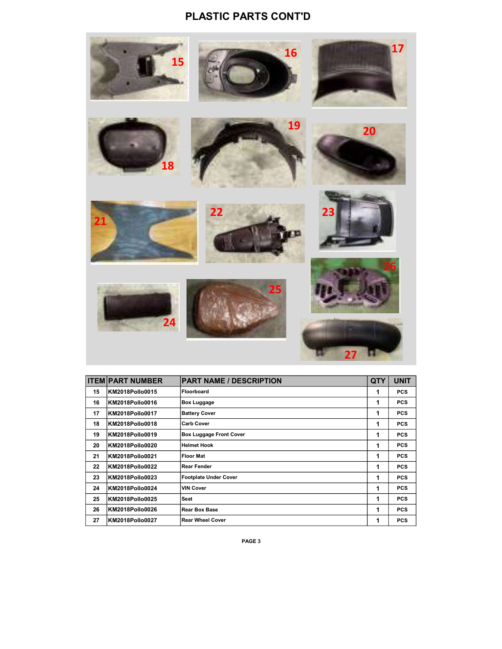## PLASTIC PARTS CONT'D



|    | <b>ITEM PART NUMBER</b> | <b>PART NAME / DESCRIPTION</b> | <b>QTY</b> | <b>UNIT</b> |
|----|-------------------------|--------------------------------|------------|-------------|
| 15 | KM2018Pollo0015         | Floorboard                     | 1          | <b>PCS</b>  |
| 16 | KM2018Pollo0016         | <b>Box Luggage</b>             | 1          | <b>PCS</b>  |
| 17 | KM2018Pollo0017         | <b>Battery Cover</b>           | 1          | <b>PCS</b>  |
| 18 | KM2018Pollo0018         | <b>Carb Cover</b>              | 1          | <b>PCS</b>  |
| 19 | KM2018Pollo0019         | <b>Box Luggage Front Cover</b> | 1          | <b>PCS</b>  |
| 20 | KM2018Pollo0020         | <b>Helmet Hook</b>             | 1          | <b>PCS</b>  |
| 21 | KM2018Pollo0021         | <b>Floor Mat</b>               | 1          | <b>PCS</b>  |
| 22 | KM2018Pollo0022         | Rear Fender                    | 1          | <b>PCS</b>  |
| 23 | KM2018Pollo0023         | <b>Footplate Under Cover</b>   | 1          | <b>PCS</b>  |
| 24 | KM2018Pollo0024         | <b>VIN Cover</b>               | 1          | <b>PCS</b>  |
| 25 | KM2018Pollo0025         | Seat                           | 1          | <b>PCS</b>  |
| 26 | KM2018Pollo0026         | <b>Rear Box Base</b>           | 1          | <b>PCS</b>  |
| 27 | KM2018Pollo0027         | <b>Rear Wheel Cover</b>        | 1          | <b>PCS</b>  |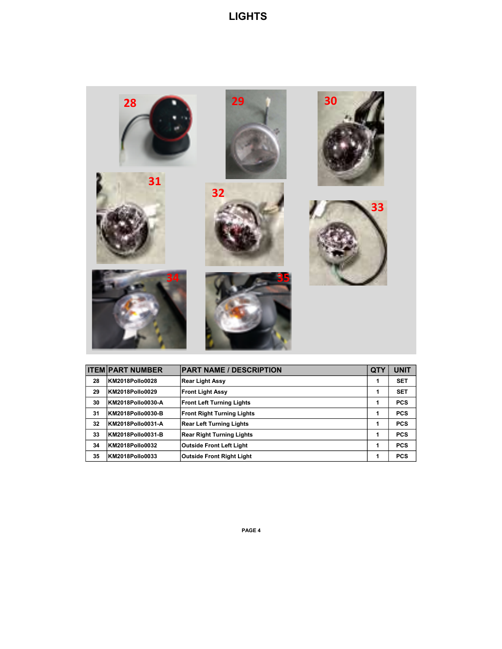LIGHTS



|    | <b>ITEM PART NUMBER</b> | <b>PART NAME / DESCRIPTION</b>    | <b>QTY</b> | <b>UNIT</b> |
|----|-------------------------|-----------------------------------|------------|-------------|
| 28 | KM2018Pollo0028         | <b>Rear Light Assy</b>            | 1          | <b>SET</b>  |
| 29 | KM2018Pollo0029         | <b>Front Light Assy</b>           | 1          | <b>SET</b>  |
| 30 | KM2018Pollo0030-A       | <b>Front Left Turning Lights</b>  | 1          | <b>PCS</b>  |
| 31 | KM2018Pollo0030-B       | <b>Front Right Turning Lights</b> | 1          | <b>PCS</b>  |
| 32 | KM2018Pollo0031-A       | <b>Rear Left Turning Lights</b>   | 1          | <b>PCS</b>  |
| 33 | KM2018Pollo0031-B       | <b>Rear Right Turning Lights</b>  | 1          | <b>PCS</b>  |
| 34 | KM2018Pollo0032         | <b>Outside Front Left Light</b>   | 1          | <b>PCS</b>  |
| 35 | KM2018Pollo0033         | <b>Outside Front Right Light</b>  | 1          | <b>PCS</b>  |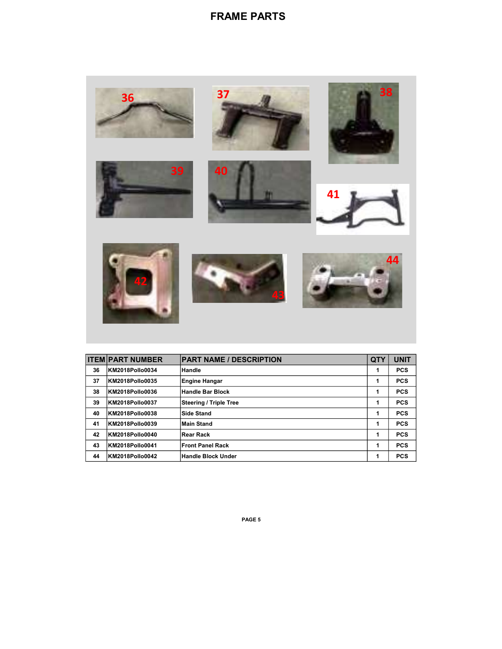## FRAME PARTS



|    | <b>ITEM PART NUMBER</b> | <b>PART NAME / DESCRIPTION</b> | <b>QTY</b>  | <b>UNIT</b> |
|----|-------------------------|--------------------------------|-------------|-------------|
| 36 | KM2018Pollo0034         | Handle                         | 1           | <b>PCS</b>  |
| 37 | KM2018Pollo0035         | <b>Engine Hangar</b>           | 1           | <b>PCS</b>  |
| 38 | KM2018Pollo0036         | <b>Handle Bar Block</b>        | 1           | <b>PCS</b>  |
| 39 | KM2018Pollo0037         | <b>Steering / Triple Tree</b>  | 1           | <b>PCS</b>  |
| 40 | KM2018Pollo0038         | <b>Side Stand</b>              | 1           | <b>PCS</b>  |
| 41 | KM2018Pollo0039         | <b>Main Stand</b>              | 1           | <b>PCS</b>  |
| 42 | KM2018Pollo0040         | <b>Rear Rack</b>               | $\mathbf 1$ | <b>PCS</b>  |
| 43 | KM2018Pollo0041         | <b>Front Panel Rack</b>        | 1           | <b>PCS</b>  |
| 44 | KM2018Pollo0042         | <b>Handle Block Under</b>      | 1           | <b>PCS</b>  |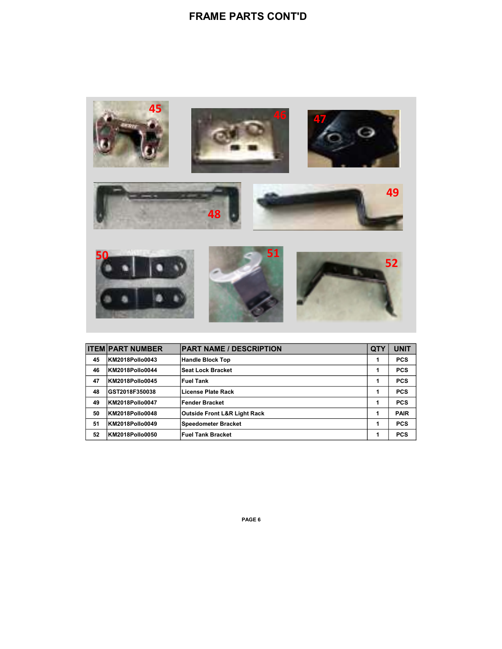## FRAME PARTS CONT'D



|    | IILEMIPARI NUMBER | IPARI NAME / DESCRIPIION                | QIY | UNII        |
|----|-------------------|-----------------------------------------|-----|-------------|
| 45 | KM2018Pollo0043   | <b>Handle Block Top</b>                 |     | <b>PCS</b>  |
| 46 | KM2018Pollo0044   | <b>Seat Lock Bracket</b>                | 1   | <b>PCS</b>  |
| 47 | KM2018Pollo0045   | <b>Fuel Tank</b>                        | 1   | <b>PCS</b>  |
| 48 | GST2018F350038    | <b>License Plate Rack</b>               | 1   | <b>PCS</b>  |
| 49 | KM2018Pollo0047   | Fender Bracket                          | 1   | <b>PCS</b>  |
| 50 | KM2018Pollo0048   | <b>Outside Front L&amp;R Light Rack</b> | 1   | <b>PAIR</b> |
| 51 | KM2018Pollo0049   | <b>Speedometer Bracket</b>              | 1   | <b>PCS</b>  |
| 52 | KM2018Pollo0050   | <b>Fuel Tank Bracket</b>                | 1   | <b>PCS</b>  |
|    |                   |                                         |     |             |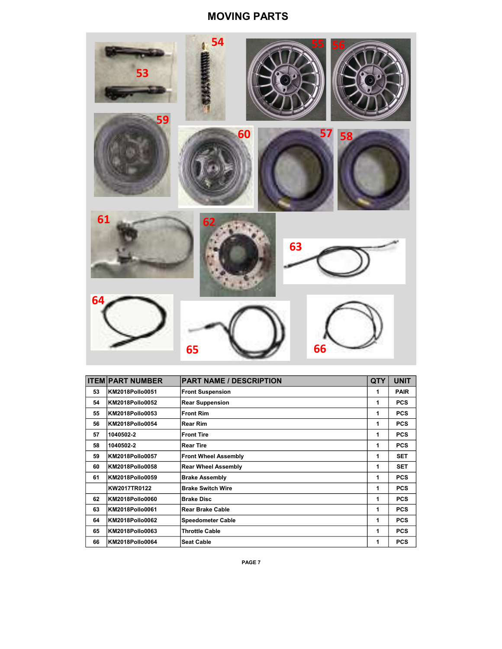#### MOVING PARTS



|    | <b>ITEM PART NUMBER</b> | <b>PART NAME / DESCRIPTION</b> | <b>QTY</b> | <b>UNIT</b> |
|----|-------------------------|--------------------------------|------------|-------------|
| 53 | KM2018Pollo0051         | <b>Front Suspension</b>        | 1          | <b>PAIR</b> |
| 54 | <b>KM2018Pollo0052</b>  | <b>Rear Suppension</b>         | 1          | <b>PCS</b>  |
| 55 | KM2018Pollo0053         | <b>Front Rim</b>               | 1          | <b>PCS</b>  |
| 56 | <b>KM2018Pollo0054</b>  | <b>Rear Rim</b>                | 1          | <b>PCS</b>  |
| 57 | 1040502-2               | <b>Front Tire</b>              | 1          | <b>PCS</b>  |
| 58 | 1040502-2               | <b>Rear Tire</b>               | 1          | <b>PCS</b>  |
| 59 | <b>KM2018Pollo0057</b>  | <b>Front Wheel Assembly</b>    | 1          | <b>SET</b>  |
| 60 | <b>KM2018Pollo0058</b>  | <b>Rear Wheel Assembly</b>     | 1          | <b>SET</b>  |
| 61 | <b>KM2018Pollo0059</b>  | <b>Brake Assembly</b>          | 1          | <b>PCS</b>  |
|    | KW2017TR0122            | <b>Brake Switch Wire</b>       | 1          | <b>PCS</b>  |
| 62 | <b>KM2018Pollo0060</b>  | <b>Brake Disc</b>              | 1          | <b>PCS</b>  |
| 63 | KM2018Pollo0061         | <b>Rear Brake Cable</b>        | 1          | <b>PCS</b>  |
| 64 | KM2018Pollo0062         | <b>Speedometer Cable</b>       | 1          | <b>PCS</b>  |
| 65 | KM2018Pollo0063         | <b>Throttle Cable</b>          | 1          | <b>PCS</b>  |
| 66 | KM2018Pollo0064         | <b>Seat Cable</b>              | 1          | <b>PCS</b>  |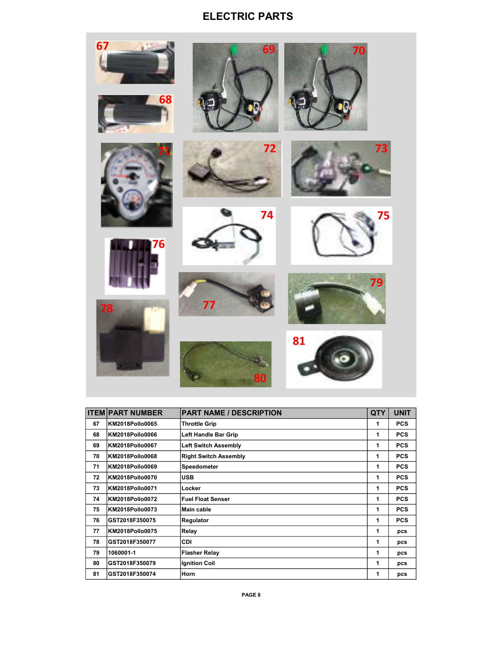## ELECTRIC PARTS



|    | <b>ITEM PART NUMBER</b> | <b>PART NAME / DESCRIPTION</b> | <b>QTY</b> | <b>UNIT</b> |
|----|-------------------------|--------------------------------|------------|-------------|
| 67 | KM2018Pollo0065         | <b>Throttle Grip</b>           | 1          | <b>PCS</b>  |
| 68 | KM2018Pollo0066         | Left Handle Bar Grip           | 1          | <b>PCS</b>  |
| 69 | <b>KM2018Pollo0067</b>  | <b>Left Switch Assembly</b>    | 1          | <b>PCS</b>  |
| 70 | KM2018Pollo0068         | <b>Right Switch Assembly</b>   | 1          | <b>PCS</b>  |
| 71 | KM2018Pollo0069         | Speedometer                    | 1          | <b>PCS</b>  |
| 72 | <b>KM2018Pollo0070</b>  | <b>USB</b>                     | 1          | <b>PCS</b>  |
| 73 | KM2018Pollo0071         | Locker                         | 1          | <b>PCS</b>  |
| 74 | KM2018Pollo0072         | <b>Fuel Float Senser</b>       | 1          | <b>PCS</b>  |
| 75 | KM2018Pollo0073         | Main cable                     | 1          | <b>PCS</b>  |
| 76 | GST2018F350075          | Regulator                      | 1          | <b>PCS</b>  |
| 77 | KM2018Pollo0075         | Relay                          | 1          | pcs         |
| 78 | GST2018F350077          | <b>CDI</b>                     | 1          | pcs         |
| 79 | 1060001-1               | <b>Flasher Relay</b>           | 1          | pcs         |
| 80 | GST2018F350079          | <b>Ignition Coil</b>           | 1          | pcs         |
| 81 | GST2018F350074          | Horn                           | 1          | pcs         |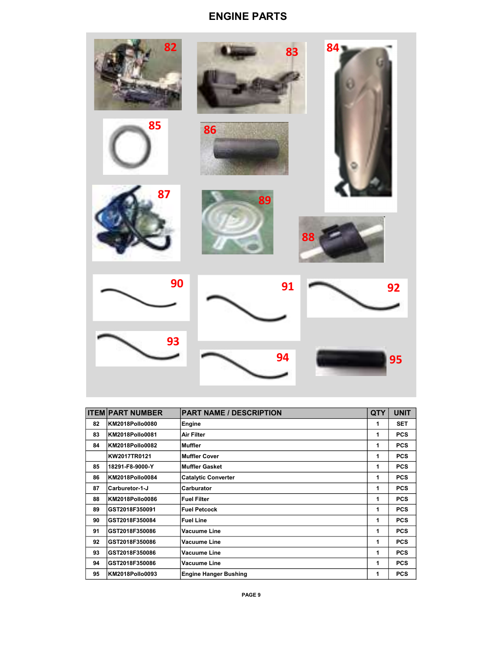## ENGINE PARTS



|    | <b>ITEM PART NUMBER</b> | <b>PART NAME / DESCRIPTION</b> | <b>QTY</b> | <b>UNIT</b> |
|----|-------------------------|--------------------------------|------------|-------------|
| 82 | KM2018Pollo0080         | Engine                         | 1          | <b>SET</b>  |
| 83 | KM2018Pollo0081         | <b>Air Filter</b>              | 1          | <b>PCS</b>  |
| 84 | KM2018Pollo0082         | <b>Muffler</b>                 | 1          | <b>PCS</b>  |
|    | KW2017TR0121            | <b>Muffler Cover</b>           | 1          | <b>PCS</b>  |
| 85 | 18291-F8-9000-Y         | <b>Muffler Gasket</b>          | 1          | <b>PCS</b>  |
| 86 | <b>KM2018Pollo0084</b>  | <b>Catalytic Converter</b>     | 1          | <b>PCS</b>  |
| 87 | Carburetor-1-J          | Carburator                     | 1          | <b>PCS</b>  |
| 88 | <b>KM2018Pollo0086</b>  | <b>Fuel Filter</b>             | 1          | <b>PCS</b>  |
| 89 | GST2018F350091          | <b>Fuel Petcock</b>            | 1          | <b>PCS</b>  |
| 90 | GST2018F350084          | <b>Fuel Line</b>               | 1          | <b>PCS</b>  |
| 91 | GST2018F350086          | Vacuume Line                   | 1          | <b>PCS</b>  |
| 92 | GST2018F350086          | Vacuume Line                   | 1          | <b>PCS</b>  |
| 93 | GST2018F350086          | <b>Vacuume Line</b>            | 1          | <b>PCS</b>  |
| 94 | GST2018F350086          | Vacuume Line                   | 1          | <b>PCS</b>  |
| 95 | <b>KM2018Pollo0093</b>  | <b>Engine Hanger Bushing</b>   | 1          | <b>PCS</b>  |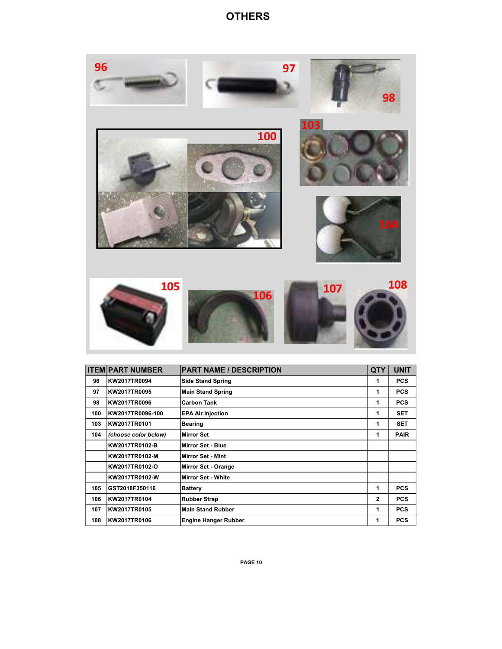#### **OTHERS**